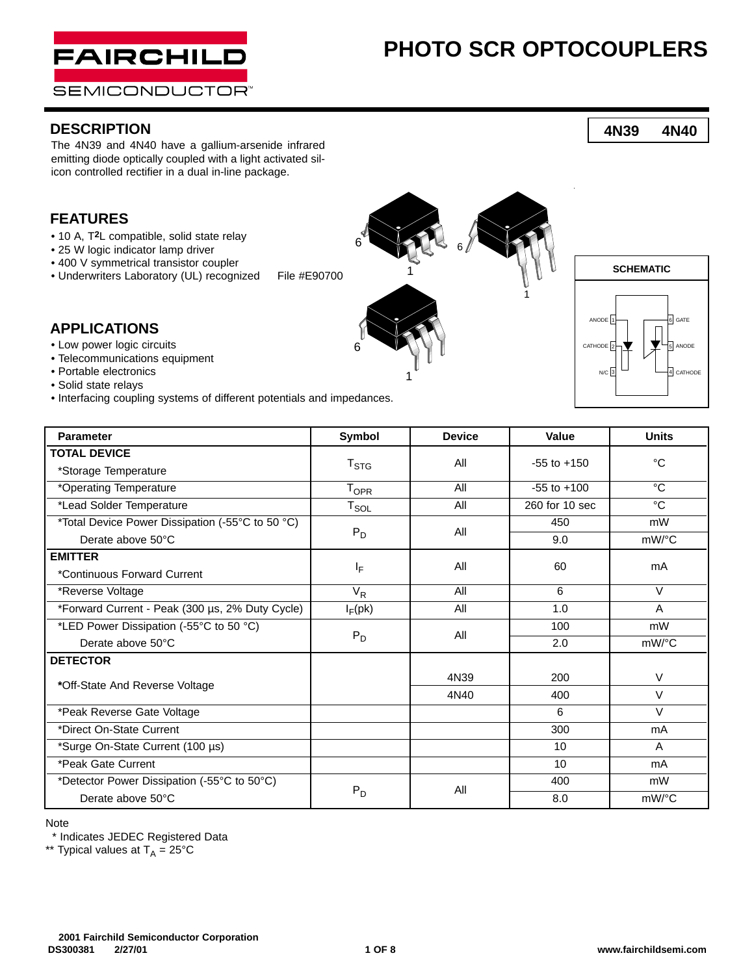### **2001 Fairchild Semiconductor Corporation**

# **PHOTO SCR OPTOCOUPLERS**

### **DESCRIPTION**

The 4N39 and 4N40 have a gallium-arsenide infrared emitting diode optically coupled with a light activated silicon controlled rectifier in a dual in-line package.

#### **FEATURES**

- 10 A, T**2**L compatible, solid state relay
- 25 W logic indicator lamp driver
- 400 V symmetrical transistor coupler
- Underwriters Laboratory (UL) recognized File #E90700

**Parameter Symbol Device Value Units TOTAL DEVICE** T<sub>STG</sub> All -55 to +150 °C<br>
\*Storage Temperature \*Operating Temperature T<sub>OPR</sub> All -55 to +100 °C \*Lead Solder Temperature  $\begin{vmatrix} 1 & 0 & 0 \\ 0 & 0 & 1 \end{vmatrix}$   $\begin{vmatrix} 1 & 0 & 0 \\ 0 & 1 & 0 \end{vmatrix}$  all  $\begin{vmatrix} 260 & 10 & 10 & 10 \\ 0 & 260 & 10 & 10 \end{vmatrix}$   $\begin{vmatrix} 0 & 0 & 0 \\ 0 & 0 & 1 \end{vmatrix}$ \*Total Device Power Dissipation (-55°C to 50 °C)  $P_D$  All 450 mW Derate above 50°C **9.0** mW/°C **EMITTER** IF All 60 mA \*Continuous Forward Current \*Reverse Voltage VR All 6 V \*Forward Current - Peak (300 µs, 2% Duty Cycle)  $I_F(pk)$  All All 1.0 1.0 All 4.0 \*LED Power Dissipation (-55°C to 50 °C)  $P_D$  All 100 mW Derate above 50°C 2.0 mW/°C **DETECTOR \*Off-State And Reverse Voltage 19 200 1200** V<br>
4N40 400 V 4N40 \*Peak Reverse Gate Voltage 6 V \*Direct On-State Current 300 mA \*Surge On-State Current (100 µs) 10 A \*Peak Gate Current **10** mA \*Detector Power Dissipation (-55°C to 50°C)  $P_D$  All 400 mW Derate above 50°C **b**  $\vert$  <sup>1D</sup>  $\vert$  <sup>1</sup> a<sup>n</sup> **8.0** mW/°C

**Note** 

\* Indicates JEDEC Registered Data

\*\* Typical values at  $T_A = 25^{\circ}C$ 

### **APPLICATIONS**

- Low power logic circuits
- Telecommunications equipment
- Portable electronics
- Solid state relays
- Interfacing coupling systems of different potentials and impedances.





1



**4N39 4N40**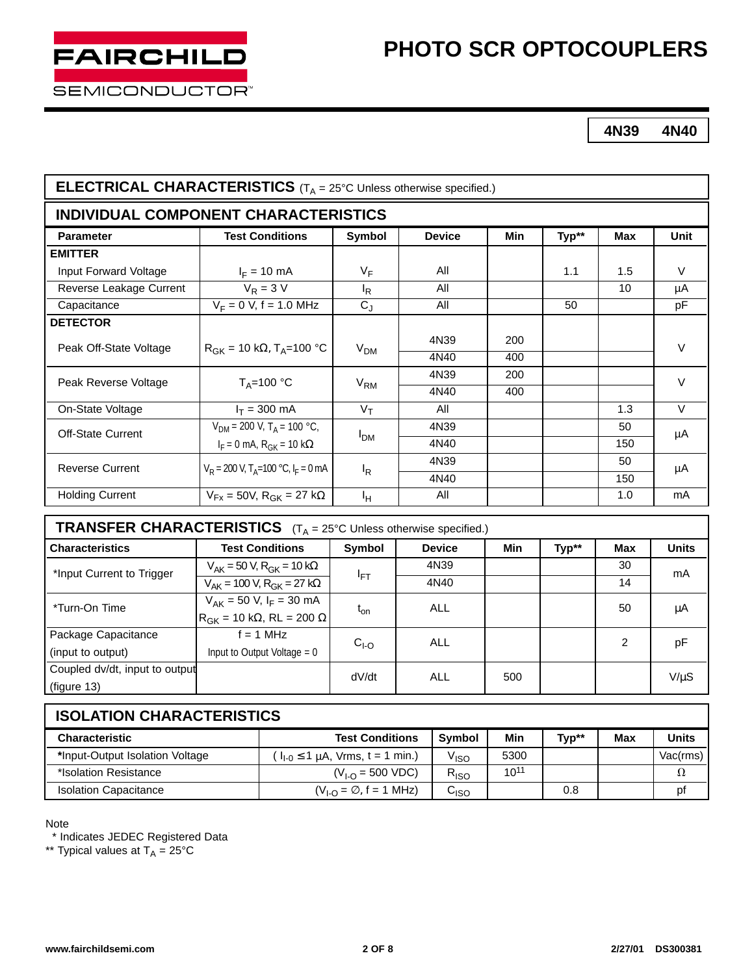**4N39 4N40**

| <b>ELECTRICAL CHARACTERISTICS</b> ( $T_A = 25^{\circ}$ C Unless otherwise specified.)         |                                                              |                       |                      |            |           |                |              |
|-----------------------------------------------------------------------------------------------|--------------------------------------------------------------|-----------------------|----------------------|------------|-----------|----------------|--------------|
| <b>INDIVIDUAL COMPONENT CHARACTERISTICS</b>                                                   |                                                              |                       |                      |            |           |                |              |
| <b>Parameter</b>                                                                              | <b>Test Conditions</b>                                       | Symbol                | <b>Device</b>        | <b>Min</b> | Typ**     | Max            | Unit         |
| <b>EMITTER</b>                                                                                |                                                              |                       |                      |            |           |                |              |
| Input Forward Voltage                                                                         | $I_F = 10$ mA                                                | VF                    | All                  |            | 1.1       | 1.5            | V            |
| Reverse Leakage Current                                                                       | $V_R = 3 V$                                                  | $I_R$                 | All                  |            |           | 10             | μA           |
| Capacitance                                                                                   | $V_F = 0 V, f = 1.0 MHz$                                     | $C_J$                 | All                  |            | 50        |                | pF           |
| <b>DETECTOR</b>                                                                               |                                                              |                       |                      |            |           |                |              |
| Peak Off-State Voltage                                                                        | $R_{GK}$ = 10 kΩ, T <sub>A</sub> =100 °C                     | V <sub>DM</sub>       | 4N39                 | 200        |           |                | V            |
|                                                                                               |                                                              |                       | 4N40                 | 400        |           |                |              |
| Peak Reverse Voltage                                                                          | $T_A = 100 °C$                                               | $V_{RM}$              | 4N39                 | 200        |           |                | $\vee$       |
|                                                                                               |                                                              |                       | 4N40                 | 400        |           |                |              |
| On-State Voltage                                                                              | $I_T = 300$ mA                                               | $V_T$                 | All                  |            |           | 1.3            | $\vee$       |
| Off-State Current                                                                             | $V_{DM}$ = 200 V, T <sub>A</sub> = 100 °C,                   | <b>I<sub>DM</sub></b> | 4N39                 |            |           | 50             | μA           |
|                                                                                               | $I_F = 0$ mA, $R_{GK} = 10$ k $\Omega$                       |                       | 4N40                 |            |           | 150            |              |
| <b>Reverse Current</b>                                                                        | $V_R$ = 200 V, T <sub>A</sub> =100 °C, I <sub>F</sub> = 0 mA | $I_R$                 | 4N39                 |            |           | 50             | μA           |
|                                                                                               |                                                              |                       | 4N40                 |            |           | 150            |              |
| <b>Holding Current</b>                                                                        | $V_{Fx}$ = 50V, R <sub>GK</sub> = 27 kΩ                      | Iн                    | All                  |            |           | 1.0            | mA           |
|                                                                                               |                                                              |                       |                      |            |           |                |              |
| <b>TRANSFER CHARACTERISTICS</b> $(T_A = 25^{\circ}C \cup n \text{less otherwise specified.)}$ |                                                              |                       |                      |            |           |                |              |
| <b>Characteristics</b>                                                                        | <b>Test Conditions</b>                                       | Symbol                | <b>Device</b>        | Min        | Typ**     | <b>Max</b>     | <b>Units</b> |
| *Input Current to Trigger                                                                     | $V_{AK}$ = 50 V, R <sub>GK</sub> = 10 k $\Omega$             | $I_{FT}$              | 4N39                 |            |           | 30             | mA           |
|                                                                                               | $V_{AK}$ = 100 V, R <sub>GK</sub> = 27 k $\Omega$            |                       | 4N40                 |            |           | 14             |              |
| *Turn-On Time                                                                                 | $V_{AK}$ = 50 V, $I_F$ = 30 mA                               | $t_{on}$              | <b>ALL</b>           |            |           | 50             | μA           |
|                                                                                               | $R_{GK}$ = 10 k $\Omega$ , RL = 200 $\Omega$                 |                       |                      |            |           |                |              |
| Package Capacitance                                                                           | $f = 1$ MHz                                                  |                       | <b>ALL</b><br>$CI-O$ |            |           | $\overline{2}$ | pF           |
| (input to output)                                                                             | Input to Output Voltage $= 0$                                |                       |                      |            |           |                |              |
|                                                                                               | Coupled dv/dt, input to output<br>dV/dt<br><b>ALL</b><br>500 |                       |                      |            | $V/\mu S$ |                |              |
|                                                                                               |                                                              |                       |                      |            |           |                |              |

| <b>ISOLATION CHARACTERISTICS</b> |                                           |                  |           |       |            |          |
|----------------------------------|-------------------------------------------|------------------|-----------|-------|------------|----------|
| <b>Characteristic</b>            | <b>Test Conditions</b>                    | <b>Symbol</b>    | Min       | Typ** | <b>Max</b> | Units    |
| *Input-Output Isolation Voltage  | $(1_{1-0} \le 1 \mu A, Vrms, t = 1 min.)$ | V <sub>ISO</sub> | 5300      |       |            | Vac(rms) |
| *Isolation Resistance            | $(V_{LO} = 500 VDC)$                      | $R_{\text{ISO}}$ | $10^{11}$ |       |            | Ω        |
| <b>Isolation Capacitance</b>     | $(V1-O = \emptyset, f = 1 MHz)$           | C <sub>ISO</sub> |           | 0.8   |            | pf       |

Note

(figure 13)

\* Indicates JEDEC Registered Data

FAIRCHILD

**SEMICONDUCTOR** 

\*\* Typical values at  $T_A = 25^{\circ}C$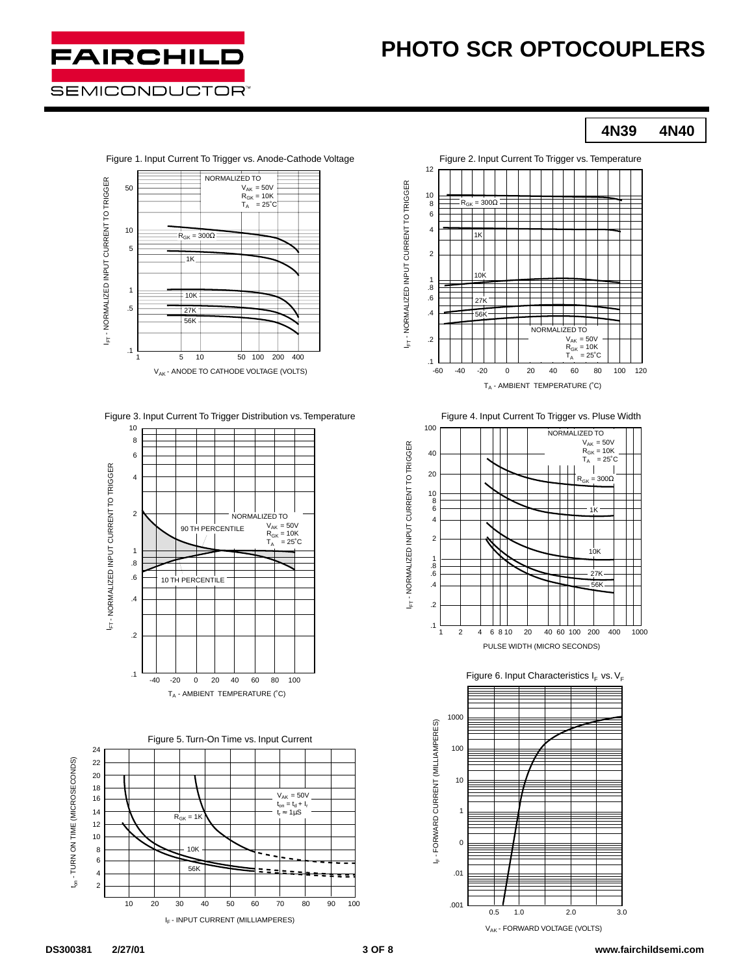

**4N39 4N40**



Figure 3. Input Current To Trigger Distribution vs. Temperature



Figure 5. Turn-On Time vs. Input Current





Figure 4. Input Current To Trigger vs. Pluse Width



Figure 6. Input Characteristics  $I_F$  vs.  $V_F$ 

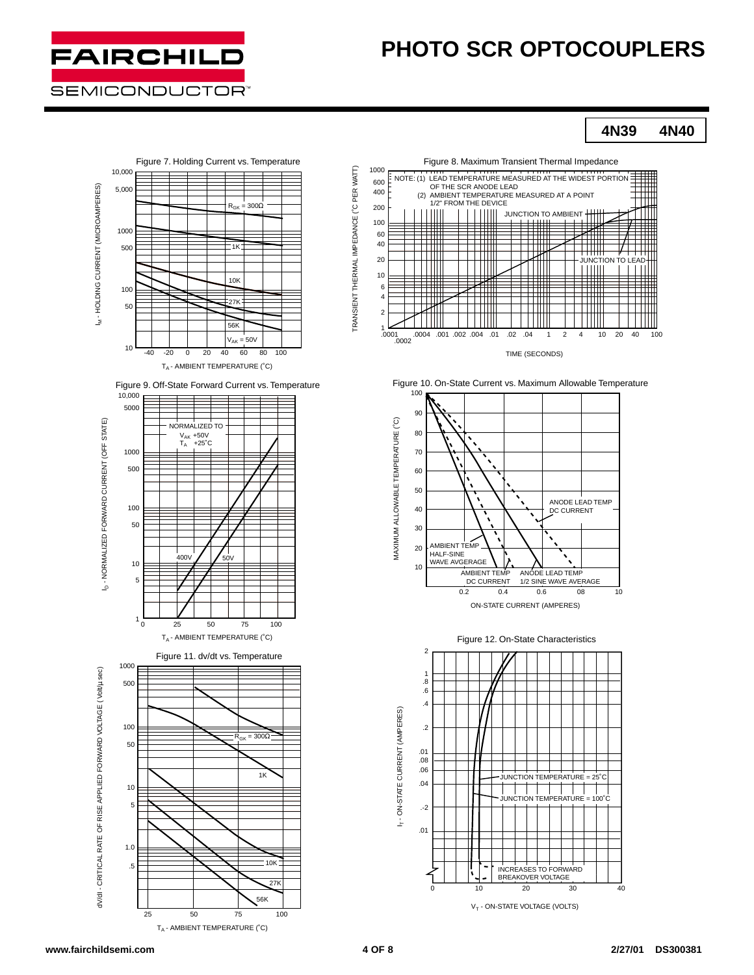

**4N39 4N40**

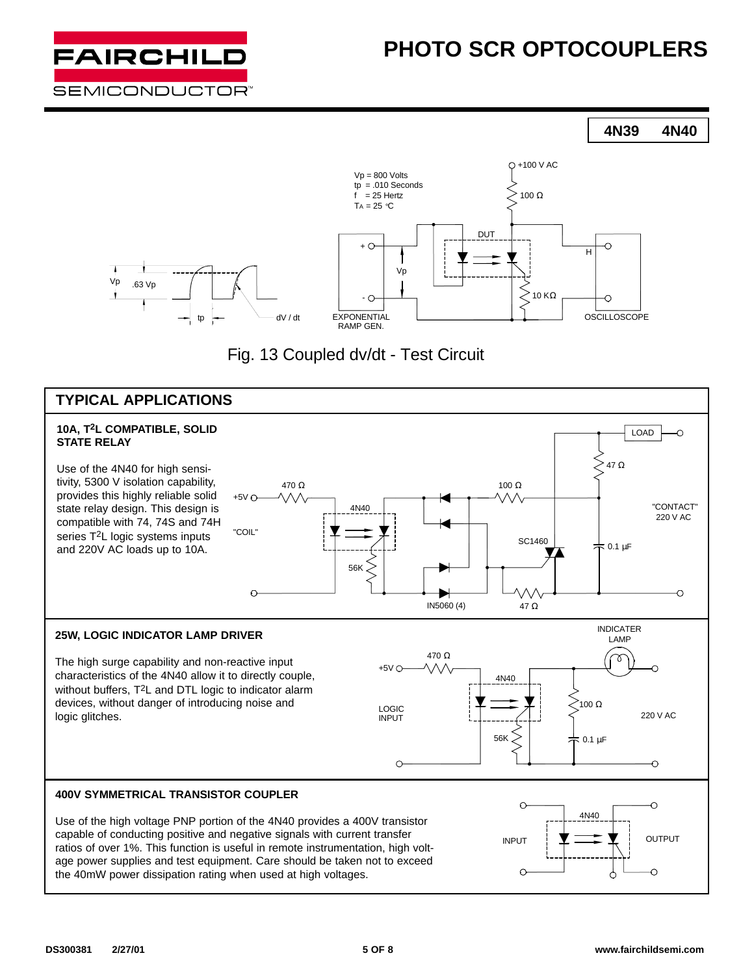





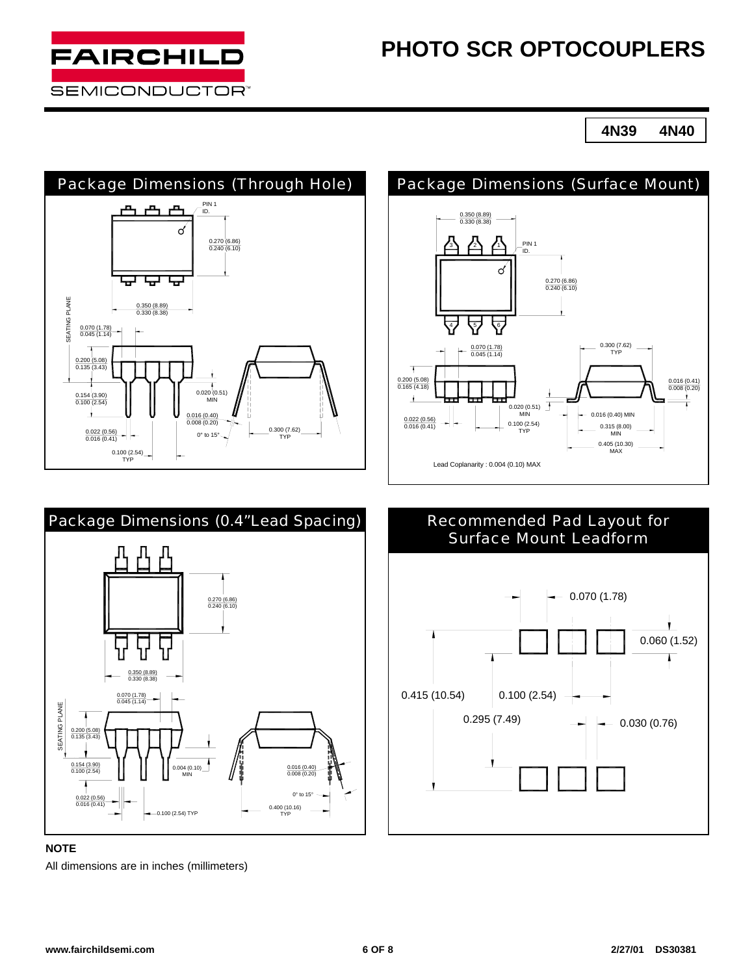

**4N39 4N40**







#### **NOTE**

All dimensions are in inches (millimeters)

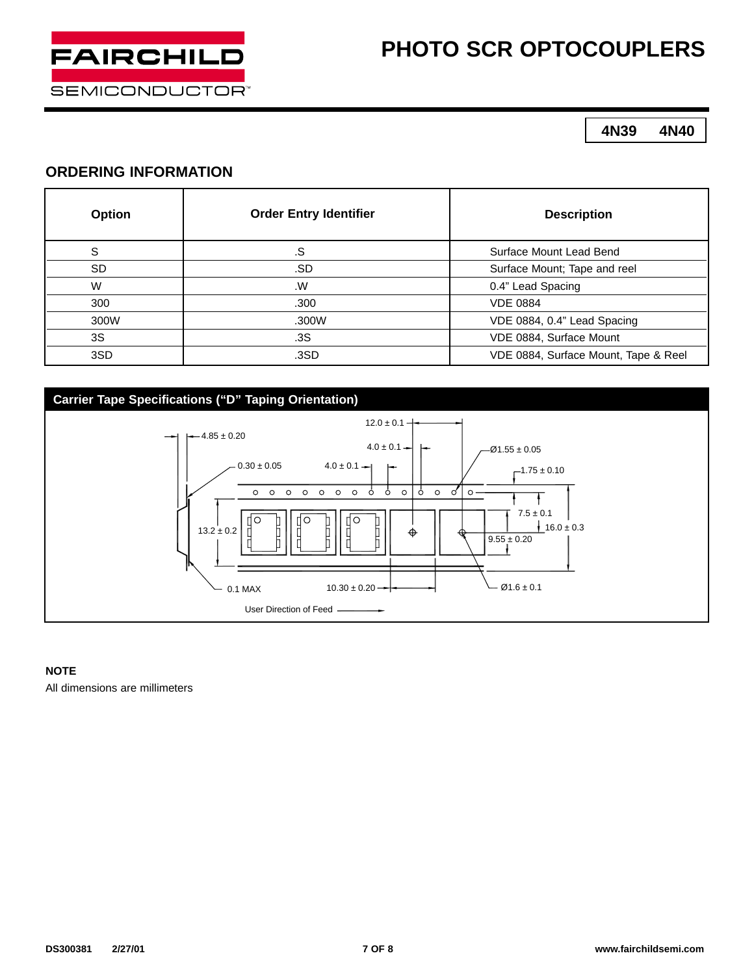

### **ORDERING INFORMATION**

**FAIRCHILD** 

**SEMICONDUCTOR** 

| Option | <b>Order Entry Identifier</b> | <b>Description</b>                   |
|--------|-------------------------------|--------------------------------------|
| S      | .S                            | Surface Mount Lead Bend              |
| SD.    | .SD                           | Surface Mount; Tape and reel         |
| W      | .W                            | 0.4" Lead Spacing                    |
| 300    | .300                          | <b>VDE 0884</b>                      |
| 300W   | .300W                         | VDE 0884, 0.4" Lead Spacing          |
| 3S     | .3S                           | VDE 0884, Surface Mount              |
| 3SD    | .3SD                          | VDE 0884, Surface Mount, Tape & Reel |



#### **NOTE**

All dimensions are millimeters